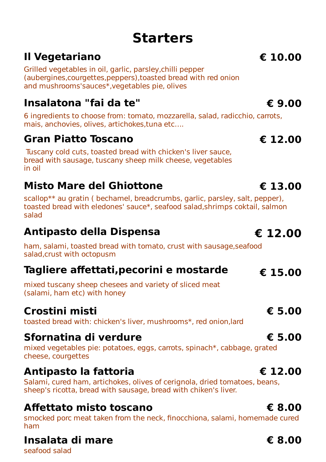# **Starters**

# **Il Vegetariano € 10.00**

Grilled vegetables in oil, garlic, parsley,chilli pepper (aubergines,courgettes,peppers),toasted bread with red onion and mushrooms'sauces\*,vegetables pie, olives

### **Insalatona "fai da te" € 9.00**

6 ingredients to choose from: tomato, mozzarella, salad, radicchio, carrots, mais, anchovies, olives, artichokes,tuna etc….

### **Gran Piatto Toscano € 12.00**

Tuscany cold cuts, toasted bread with chicken's liver sauce, bread with sausage, tuscany sheep milk cheese, vegetables in oil

## **Misto Mare del Ghiottone € 13.00**

scallop\*\* au gratin ( bechamel, breadcrumbs, garlic, parsley, salt, pepper), toasted bread with eledones' sauce\*, seafood salad,shrimps coktail, salmon salad

## **Antipasto della Dispensa € 12.00**

ham, salami, toasted bread with tomato, crust with sausage,seafood salad,crust with octopusm

## **Tagliere affettati,pecorini e mostarde € 15.00**

mixed tuscany sheep chesees and variety of sliced meat (salami, ham etc) with honey

# **Crostini misti € 5.00**

toasted bread with: chicken's liver, mushrooms\*, red onion,lard

### **Sfornatina di verdure € 5.00**

mixed vegetables pie: potatoes, eggs, carrots, spinach\*, cabbage, grated cheese, courgettes

### **Antipasto la fattoria € 12.00**

Salami, cured ham, artichokes, olives of cerignola, dried tomatoes, beans, sheep's ricotta, bread with sausage, bread with chiken's liver.

### **Affettato misto toscano € 8.00**

smocked porc meat taken from the neck, finocchiona, salami, homemade cured ham

## **Insalata di mare € 8.00**

seafood salad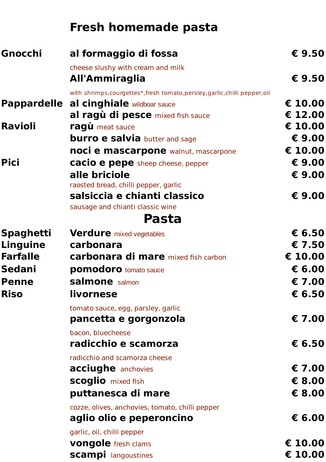# **Fresh homemade pasta**

| Gnocchi            | al formaggio di fossa                                                        | € 9.50  |
|--------------------|------------------------------------------------------------------------------|---------|
|                    | cheese slushy with cream and milk                                            |         |
|                    | All'Ammiraglia                                                               | € 9.50  |
|                    | with shrimps, courgettes*, fresh tomato, persley, garlic, chilli pepper, oil |         |
| <b>Pappardelle</b> | al cinghiale wildboar sauce                                                  | € 10.00 |
|                    | al ragù di pesce mixed fish sauce                                            | € 12.00 |
| <b>Ravioli</b>     | ragù meat sauce                                                              | € 10.00 |
|                    | <b>burro e salvia</b> butter and sage                                        | € 9.00  |
|                    | noci e mascarpone walnut, mascarpone                                         | € 10.00 |
| <b>Pici</b>        | <b>cacio e pepe</b> sheep cheese, pepper                                     | € 9.00  |
|                    | alle briciole                                                                | € 9.00  |
|                    | raosted bread, chilli pepper, garlic                                         |         |
|                    | salsiccia e chianti classico                                                 | € 9.00  |
|                    | sausage and chianti classic wine                                             |         |
|                    | Pasta                                                                        |         |
| <b>Spaghetti</b>   | <b>Verdure</b> mixed vegetables                                              | € 6.50  |
| Linguine           | carbonara                                                                    | € 7.50  |
| <b>Farfalle</b>    | <b>carbonara di mare</b> mixed fish carbon                                   | € 10.00 |
| <b>Sedani</b>      | <b>pomodoro</b> tomato sauce                                                 | € 6.00  |
| <b>Penne</b>       | salmone salmon                                                               | € 7.00  |
| <b>Riso</b>        | livornese                                                                    | € 6.50  |
|                    | tomato sauce, egg, parsley, garlic                                           |         |
|                    | pancetta e gorgonzola                                                        | € 7.00  |
|                    | bacon, bluecheese                                                            |         |
|                    | radicchio e scamorza                                                         | € 6.50  |
|                    | radicchio and scamorza cheese                                                |         |
|                    | <b>acciughe</b> anchovies                                                    | € 7.00  |
|                    | <b>scoglio</b> mixed fish                                                    | € 8.00  |
|                    | puttanesca di mare                                                           | € 8.00  |
|                    | cozze, olives, anchovies, tomato, chilli pepper                              |         |
|                    | aglio olio e peperoncino                                                     | € 6.00  |
|                    | garlic, oil, chilli pepper                                                   |         |
|                    | <b>vongole</b> fresh clams                                                   | € 10.00 |
|                    | <b>scampi</b> langoustines                                                   | € 10.00 |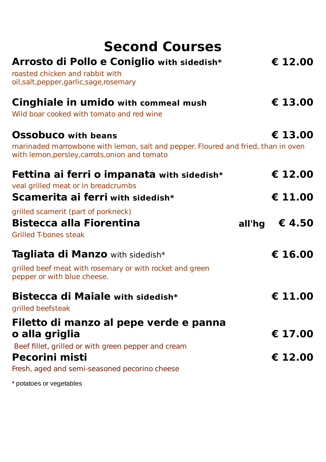# **Second Courses**

| Arrosto di Pollo e Coniglio with sidedish*<br>roasted chicken and rabbit with<br>oil, salt, pepper, garlic, sage, rosemary                                        | € 12.00          |
|-------------------------------------------------------------------------------------------------------------------------------------------------------------------|------------------|
| <b>Cinghiale in umido</b> with commeal mush<br>Wild boar cooked with tomato and red wine                                                                          | € 13.00          |
| <b>Ossobuco</b> with beans<br>marinaded marrowbone with lemon, salt and pepper. Floured and fried, than in oven<br>with lemon, persley, carrots, onion and tomato | € 13.00          |
| Fettina ai ferri o impanata with sidedish*                                                                                                                        | € 12.00          |
| veal grilled meat or in breadcrumbs<br><b>Scamerita ai ferri with sidedish*</b>                                                                                   | € 11.00          |
| grilled scamerit (part of porkneck)<br><b>Bistecca alla Fiorentina</b><br><b>Grilled T-bones steak</b>                                                            | € 4.50<br>all'hg |
| <b>Tagliata di Manzo</b> with sidedish*<br>grilled beef meat with rosemary or with rocket and green<br>pepper or with blue cheese.                                | € 16.00          |
| Bistecca di Maiale with sidedish*<br>grilled beefsteak                                                                                                            | € 11.00          |
| Filetto di manzo al pepe verde e panna<br>o alla griglia                                                                                                          | € 17.00          |
| Beef fillet, grilled or with green pepper and cream<br><b>Pecorini misti</b><br>Fresh, aged and semi-seasoned pecorino cheese                                     | € 12.00          |
|                                                                                                                                                                   |                  |

\* potatoes or vegetables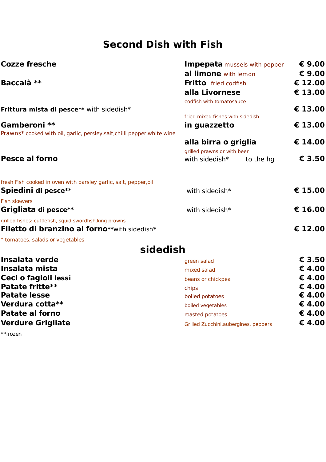### **Second Dish with Fish**

| <b>Cozze fresche</b>                                                      | <b>Impepata</b> mussels with pepper<br>al limone with lemon |         |
|---------------------------------------------------------------------------|-------------------------------------------------------------|---------|
|                                                                           |                                                             |         |
| Baccalà **                                                                | <b>Fritto</b> fried codfish                                 |         |
|                                                                           | alla Livornese                                              | € 13.00 |
|                                                                           | codfish with tomatosauce                                    |         |
| <b>Frittura mista di pesce**</b> with sidedish*                           |                                                             | € 13.00 |
|                                                                           | fried mixed fishes with sidedish                            |         |
| Gamberoni **                                                              | in guazzetto                                                | € 13.00 |
| Prawns* cooked with oil, garlic, persley, salt, chilli pepper, white wine |                                                             | € 14.00 |
|                                                                           | alla birra o griglia                                        |         |
| <b>Pesce al forno</b>                                                     | grilled prawns or with beer<br>with sidedish*<br>to the hg  | € 3.50  |
|                                                                           |                                                             |         |
| fresh Fish cooked in oven with parsley garlic, salt, pepper,oil           |                                                             |         |
| Spiedini di pesce**                                                       | with sidedish*                                              | € 15.00 |
| <b>Fish skewers</b>                                                       |                                                             |         |
| Grigliata di pesce**                                                      | with sidedish*                                              | € 16.00 |
| grilled fishes: cuttlefish, squid, swordfish, king prowns                 |                                                             |         |
| Filetto di branzino al forno**with sidedish*                              |                                                             | € 12.00 |
| * tomatoes, salads or vegetables                                          |                                                             |         |
| sidedish                                                                  |                                                             |         |
| Insalata verde                                                            | green salad                                                 | € 3.50  |
| Insalata mista                                                            | mixed salad                                                 | €4.00   |
| Ceci o fagioli lessi                                                      | beans or chickpea                                           | € 4.00  |
| Patate fritte**                                                           | chips                                                       | € 4.00  |
| <b>Patate lesse</b>                                                       | boiled potatoes                                             | €4.00   |
| Verdura cotta**                                                           | boiled vegetables                                           | € 4.00  |
| <b>Patate al forno</b>                                                    | roasted potatoes                                            | € 4.00  |

**Verdure Grigliate Grigliate Gridder Canadian Calculus** Grilled Zucchini,aubergines, peppers **€ 4.00** 

\*\*frozen